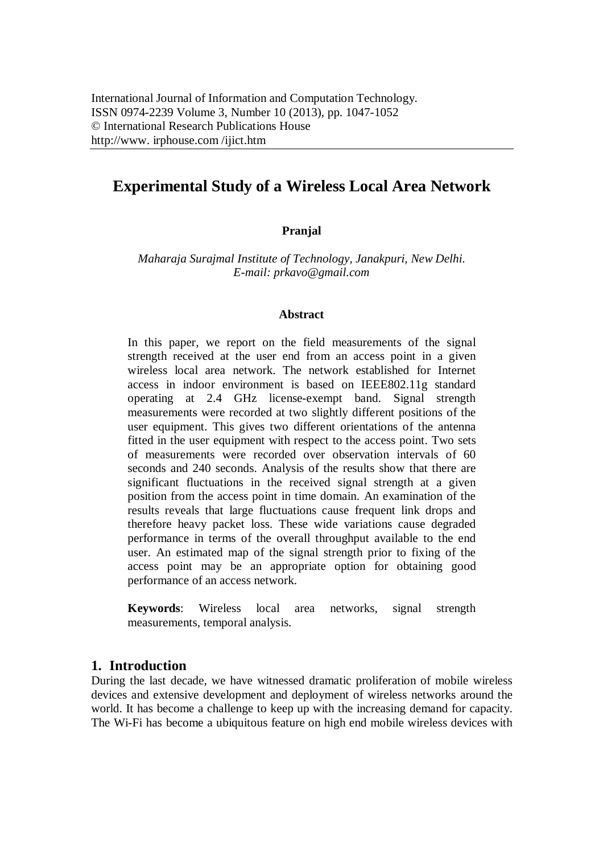# **Experimental Study of a Wireless Local Area Network**

## **Pranjal**

*Maharaja Surajmal Institute of Technology, Janakpuri, New Delhi. E-mail: prkavo@gmail.com*

### **Abstract**

In this paper, we report on the field measurements of the signal strength received at the user end from an access point in a given wireless local area network. The network established for Internet access in indoor environment is based on IEEE802.11g standard operating at 2.4 GHz license-exempt band. Signal strength measurements were recorded at two slightly different positions of the user equipment. This gives two different orientations of the antenna fitted in the user equipment with respect to the access point. Two sets of measurements were recorded over observation intervals of 60 seconds and 240 seconds. Analysis of the results show that there are significant fluctuations in the received signal strength at a given position from the access point in time domain. An examination of the results reveals that large fluctuations cause frequent link drops and therefore heavy packet loss. These wide variations cause degraded performance in terms of the overall throughput available to the end user. An estimated map of the signal strength prior to fixing of the access point may be an appropriate option for obtaining good performance of an access network.

**Keywords**: Wireless local area networks, signal strength measurements, temporal analysis.

## **1. Introduction**

During the last decade, we have witnessed dramatic proliferation of mobile wireless devices and extensive development and deployment of wireless networks around the world. It has become a challenge to keep up with the increasing demand for capacity. The Wi-Fi has become a ubiquitous feature on high end mobile wireless devices with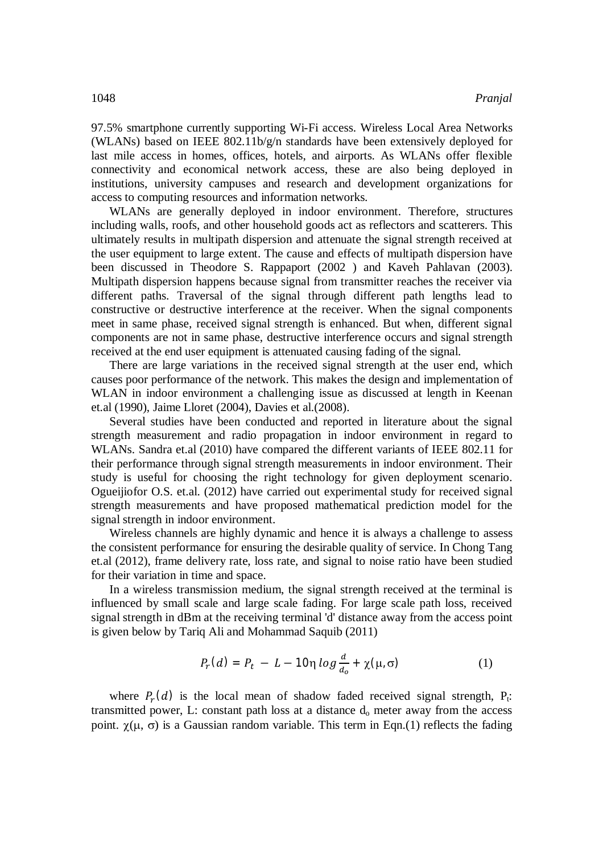97.5% smartphone currently supporting Wi-Fi access. Wireless Local Area Networks (WLANs) based on IEEE 802.11b/g/n standards have been extensively deployed for last mile access in homes, offices, hotels, and airports. As WLANs offer flexible connectivity and economical network access, these are also being deployed in institutions, university campuses and research and development organizations for access to computing resources and information networks.

WLANs are generally deployed in indoor environment. Therefore, structures including walls, roofs, and other household goods act as reflectors and scatterers. This ultimately results in multipath dispersion and attenuate the signal strength received at the user equipment to large extent. The cause and effects of multipath dispersion have been discussed in Theodore S. Rappaport (2002 ) and Kaveh Pahlavan (2003). Multipath dispersion happens because signal from transmitter reaches the receiver via different paths. Traversal of the signal through different path lengths lead to constructive or destructive interference at the receiver. When the signal components meet in same phase, received signal strength is enhanced. But when, different signal components are not in same phase, destructive interference occurs and signal strength received at the end user equipment is attenuated causing fading of the signal.

There are large variations in the received signal strength at the user end, which causes poor performance of the network. This makes the design and implementation of WLAN in indoor environment a challenging issue as discussed at length in Keenan et.al (1990), Jaime Lloret (2004), Davies et al.(2008).

Several studies have been conducted and reported in literature about the signal strength measurement and radio propagation in indoor environment in regard to WLANs. Sandra et.al (2010) have compared the different variants of IEEE 802.11 for their performance through signal strength measurements in indoor environment. Their study is useful for choosing the right technology for given deployment scenario. Ogueijiofor O.S. et.al. (2012) have carried out experimental study for received signal strength measurements and have proposed mathematical prediction model for the signal strength in indoor environment.

Wireless channels are highly dynamic and hence it is always a challenge to assess the consistent performance for ensuring the desirable quality of service. In Chong Tang et.al (2012), frame delivery rate, loss rate, and signal to noise ratio have been studied for their variation in time and space.

In a wireless transmission medium, the signal strength received at the terminal is influenced by small scale and large scale fading. For large scale path loss, received signal strength in dBm at the receiving terminal 'd' distance away from the access point is given below by Tariq Ali and Mohammad Saquib (2011)

$$
P_r(d) = P_t - L - 10\eta \log \frac{d}{d_o} + \chi(\mu, \sigma) \tag{1}
$$

where  $P_r(d)$  is the local mean of shadow faded received signal strength,  $P_t$ : transmitted power, L: constant path loss at a distance d<sup>o</sup> meter away from the access point.  $\chi(\mu, \sigma)$  is a Gaussian random variable. This term in Eqn.(1) reflects the fading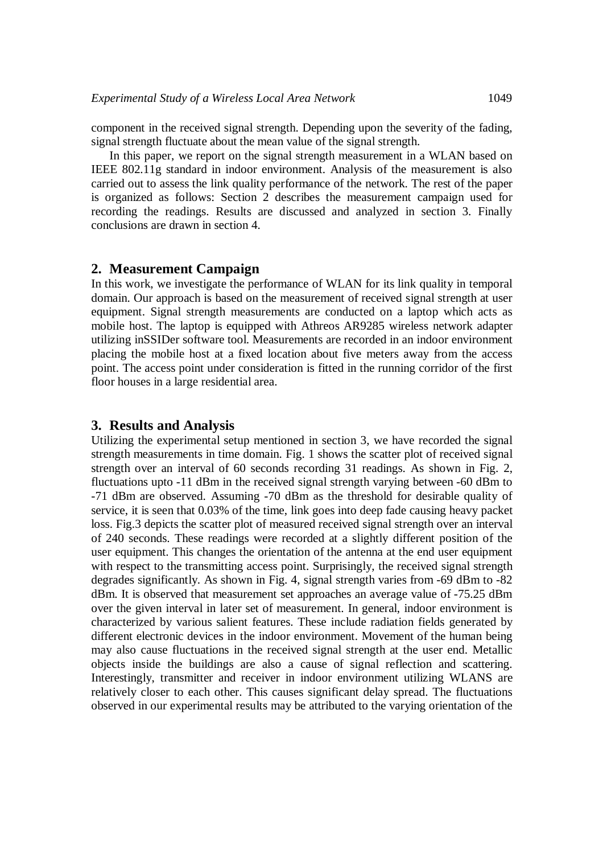component in the received signal strength. Depending upon the severity of the fading, signal strength fluctuate about the mean value of the signal strength.

In this paper, we report on the signal strength measurement in a WLAN based on IEEE 802.11g standard in indoor environment. Analysis of the measurement is also carried out to assess the link quality performance of the network. The rest of the paper is organized as follows: Section 2 describes the measurement campaign used for recording the readings. Results are discussed and analyzed in section 3. Finally conclusions are drawn in section 4.

### **2. Measurement Campaign**

In this work, we investigate the performance of WLAN for its link quality in temporal domain. Our approach is based on the measurement of received signal strength at user equipment. Signal strength measurements are conducted on a laptop which acts as mobile host. The laptop is equipped with Athreos AR9285 wireless network adapter utilizing inSSIDer software tool. Measurements are recorded in an indoor environment placing the mobile host at a fixed location about five meters away from the access point. The access point under consideration is fitted in the running corridor of the first floor houses in a large residential area.

#### **3. Results and Analysis**

Utilizing the experimental setup mentioned in section 3, we have recorded the signal strength measurements in time domain. Fig. 1 shows the scatter plot of received signal strength over an interval of 60 seconds recording 31 readings. As shown in Fig. 2, fluctuations upto -11 dBm in the received signal strength varying between -60 dBm to -71 dBm are observed. Assuming -70 dBm as the threshold for desirable quality of service, it is seen that 0.03% of the time, link goes into deep fade causing heavy packet loss. Fig.3 depicts the scatter plot of measured received signal strength over an interval of 240 seconds. These readings were recorded at a slightly different position of the user equipment. This changes the orientation of the antenna at the end user equipment with respect to the transmitting access point. Surprisingly, the received signal strength degrades significantly. As shown in Fig. 4, signal strength varies from -69 dBm to -82 dBm. It is observed that measurement set approaches an average value of -75.25 dBm over the given interval in later set of measurement. In general, indoor environment is characterized by various salient features. These include radiation fields generated by different electronic devices in the indoor environment. Movement of the human being may also cause fluctuations in the received signal strength at the user end. Metallic objects inside the buildings are also a cause of signal reflection and scattering. Interestingly, transmitter and receiver in indoor environment utilizing WLANS are relatively closer to each other. This causes significant delay spread. The fluctuations observed in our experimental results may be attributed to the varying orientation of the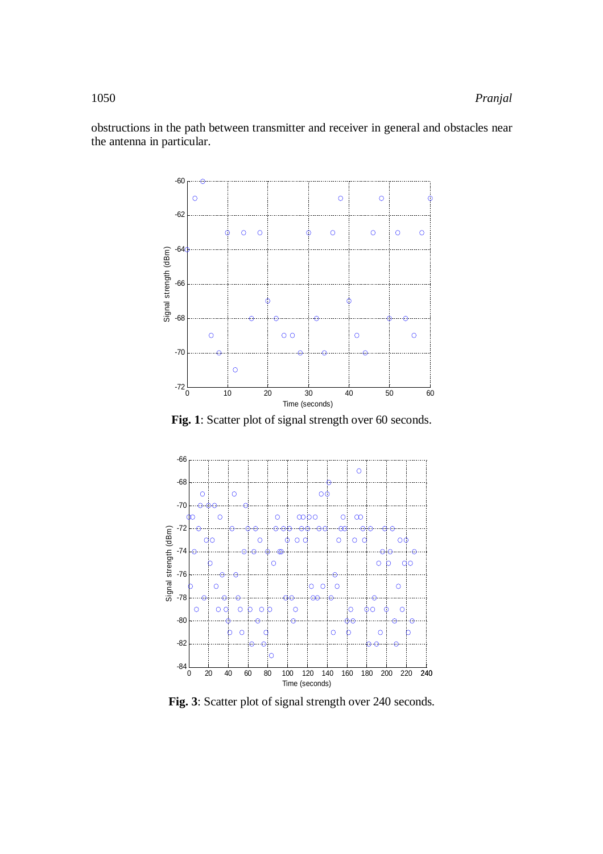obstructions in the path between transmitter and receiver in general and obstacles near the antenna in particular.



**Fig. 1**: Scatter plot of signal strength over 60 seconds.



**Fig. 3**: Scatter plot of signal strength over 240 seconds.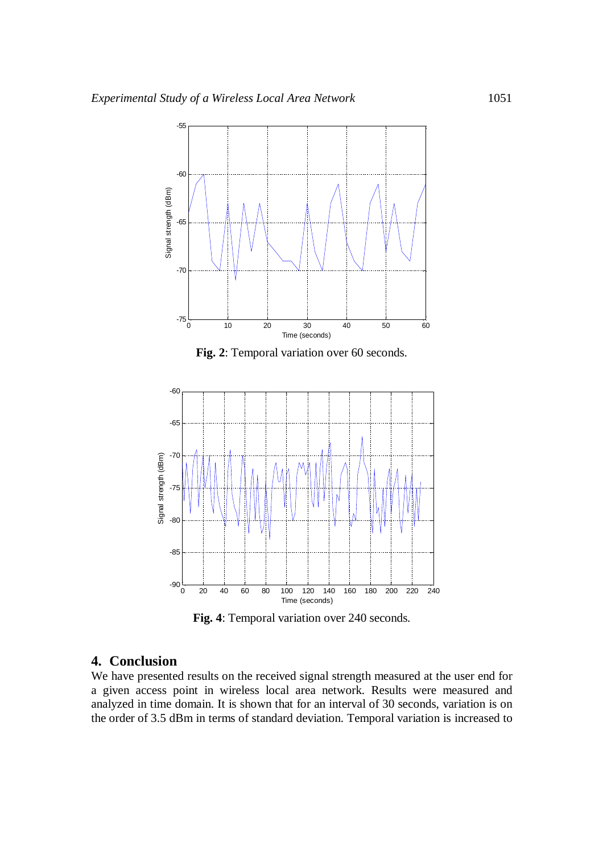

**Fig. 4**: Temporal variation over 240 seconds.

## **4. Conclusion**

We have presented results on the received signal strength measured at the user end for a given access point in wireless local area network. Results were measured and analyzed in time domain. It is shown that for an interval of 30 seconds, variation is on the order of 3.5 dBm in terms of standard deviation. Temporal variation is increased to